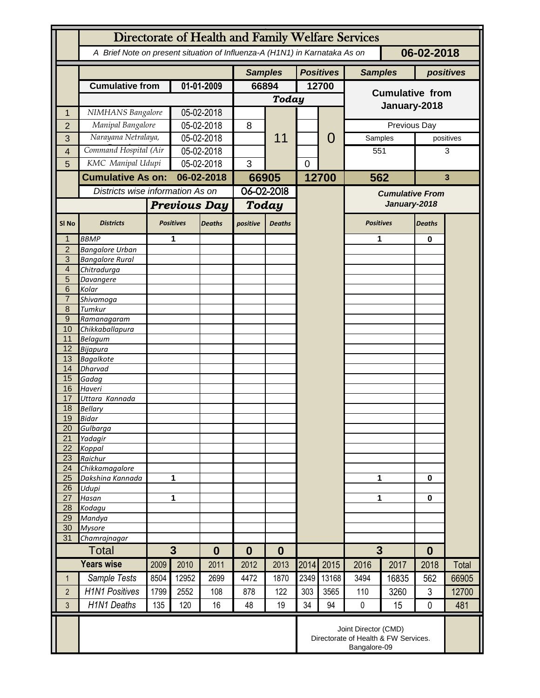|                     | Directorate of Health and Family Welfare Services                                        |                       |                          |               |                  |               |                |                                                                              |                        |                     |               |              |
|---------------------|------------------------------------------------------------------------------------------|-----------------------|--------------------------|---------------|------------------|---------------|----------------|------------------------------------------------------------------------------|------------------------|---------------------|---------------|--------------|
|                     | A Brief Note on present situation of Influenza-A (H1N1) in Karnataka As on<br>06-02-2018 |                       |                          |               |                  |               |                |                                                                              |                        |                     |               |              |
|                     |                                                                                          |                       |                          |               | <b>Samples</b>   |               |                | <b>Positives</b>                                                             | <b>Samples</b>         |                     |               | positives    |
|                     | <b>Cumulative from</b>                                                                   |                       | 01-01-2009               |               | 66894            |               |                | 12700                                                                        |                        |                     |               |              |
|                     |                                                                                          |                       |                          |               |                  | <b>Today</b>  |                |                                                                              | <b>Cumulative from</b> |                     |               |              |
| 1                   | NIMHANS Bangalore                                                                        |                       | 05-02-2018               |               |                  |               |                |                                                                              | January-2018           |                     |               |              |
| $\overline{2}$      | Manipal Bangalore                                                                        |                       | 05-02-2018               |               | 8                |               |                |                                                                              | Previous Day           |                     |               |              |
|                     | Narayana Netralaya,                                                                      |                       |                          | 05-02-2018    |                  | 11            |                | 0                                                                            |                        |                     | positives     |              |
| 3                   |                                                                                          |                       |                          |               |                  |               |                |                                                                              | Samples                |                     |               |              |
| 4                   |                                                                                          | Command Hospital (Air |                          | 05-02-2018    |                  |               |                |                                                                              | 551                    |                     | 3             |              |
| 5                   |                                                                                          | KMC Manipal Udupi     |                          | 05-02-2018    |                  |               | $\overline{0}$ |                                                                              |                        |                     |               |              |
|                     | <b>Cumulative As on:</b>                                                                 |                       | 06-02-2018               |               | 66905            |               |                | 12700                                                                        |                        | 562<br>$\mathbf{3}$ |               |              |
|                     | Districts wise information As on                                                         |                       |                          |               | $06 - 02 - 2018$ |               |                |                                                                              | <b>Cumulative From</b> |                     |               |              |
|                     |                                                                                          |                       | <b>Previous Day</b>      |               | Today            |               |                |                                                                              | January-2018           |                     |               |              |
| SI <sub>No</sub>    | <b>Districts</b>                                                                         |                       | <b>Positives</b>         | <b>Deaths</b> | positive         | <b>Deaths</b> |                |                                                                              | <b>Positives</b>       |                     | <b>Deaths</b> |              |
| 1                   | <b>BBMP</b>                                                                              |                       | 1                        |               |                  |               |                |                                                                              | 1                      |                     | 0             |              |
| $\overline{2}$      | <b>Bangalore Urban</b>                                                                   |                       |                          |               |                  |               |                |                                                                              |                        |                     |               |              |
| 3<br>$\overline{4}$ | <b>Bangalore Rural</b>                                                                   |                       |                          |               |                  |               |                |                                                                              |                        |                     |               |              |
| 5                   | Chitradurga<br>Davangere                                                                 |                       |                          |               |                  |               |                |                                                                              |                        |                     |               |              |
| 6                   | Kolar                                                                                    |                       |                          |               |                  |               |                |                                                                              |                        |                     |               |              |
| $\overline{7}$      | Shivamoga                                                                                |                       |                          |               |                  |               |                |                                                                              |                        |                     |               |              |
| 8                   | Tumkur                                                                                   |                       |                          |               |                  |               |                |                                                                              |                        |                     |               |              |
| 9                   | Ramanagaram                                                                              |                       |                          |               |                  |               |                |                                                                              |                        |                     |               |              |
| 10<br>11            | Chikkaballapura<br><b>Belagum</b>                                                        |                       |                          |               |                  |               |                |                                                                              |                        |                     |               |              |
| 12                  | Bijapura                                                                                 |                       |                          |               |                  |               |                |                                                                              |                        |                     |               |              |
| 13                  | <b>Bagalkote</b>                                                                         |                       |                          |               |                  |               |                |                                                                              |                        |                     |               |              |
| 14                  | <b>Dharvad</b>                                                                           |                       |                          |               |                  |               |                |                                                                              |                        |                     |               |              |
| 15                  | Gadag                                                                                    |                       |                          |               |                  |               |                |                                                                              |                        |                     |               |              |
| 16                  | Haveri                                                                                   |                       |                          |               |                  |               |                |                                                                              |                        |                     |               |              |
| 17<br>18            | Uttara Kannada<br><b>Bellary</b>                                                         |                       |                          |               |                  |               |                |                                                                              |                        |                     |               |              |
| 19                  | Bidar                                                                                    |                       |                          |               |                  |               |                |                                                                              |                        |                     |               |              |
| 20                  | Gulbarga                                                                                 |                       |                          |               |                  |               |                |                                                                              |                        |                     |               |              |
| $\overline{21}$     | Yadagir                                                                                  |                       |                          |               |                  |               |                |                                                                              |                        |                     |               |              |
| 22                  | Koppal                                                                                   |                       |                          |               |                  |               |                |                                                                              |                        |                     |               |              |
| 23<br>24            | Raichur<br>Chikkamagalore                                                                |                       |                          |               |                  |               |                |                                                                              |                        |                     |               |              |
| $\overline{25}$     | Dakshina Kannada                                                                         | 1                     |                          |               |                  |               |                |                                                                              | 1                      |                     | $\mathbf 0$   |              |
| 26                  | Udupi                                                                                    |                       |                          |               |                  |               |                |                                                                              |                        |                     |               |              |
| $\overline{27}$     | Hasan                                                                                    | 1                     |                          |               |                  |               |                |                                                                              | 1                      |                     | $\bf{0}$      |              |
| 28                  | Kodagu                                                                                   |                       |                          |               |                  |               |                |                                                                              |                        |                     |               |              |
| 29<br>30            | Mandya<br><b>Mysore</b>                                                                  |                       |                          |               |                  |               |                |                                                                              |                        |                     |               |              |
| 31                  | Chamrajnagar                                                                             |                       |                          |               |                  |               |                |                                                                              |                        |                     |               |              |
|                     | Total                                                                                    |                       | $\mathbf{3}$<br>$\bf{0}$ |               | $\bf{0}$         | $\bf{0}$      |                |                                                                              | $\overline{3}$         |                     | $\bf{0}$      |              |
|                     | <b>Years wise</b>                                                                        | 2009                  | 2010                     | 2011          | 2012             | 2013          | 2014           | 2015                                                                         | 2016                   | 2017                | 2018          | <b>Total</b> |
| $\mathbf{1}$        | Sample Tests                                                                             | 8504                  | 12952                    | 2699          | 4472             | 1870          | 2349           | 13168                                                                        | 3494                   | 16835               | 562           | 66905        |
| $\overline{2}$      | <b>H1N1 Positives</b>                                                                    | 1799                  | 2552                     | 108           | 878              | 122           | 303            | 3565                                                                         | 110                    | 3260                | 3             | 12700        |
| 3                   | <b>H1N1 Deaths</b>                                                                       | 135                   | 120                      | 16            | 48               | 19            | 34             | 94                                                                           | $\mathbf 0$            | 15                  | $\mathbf 0$   | 481          |
|                     |                                                                                          |                       |                          |               |                  |               |                |                                                                              |                        |                     |               |              |
|                     |                                                                                          |                       |                          |               |                  |               |                | Joint Director (CMD)<br>Directorate of Health & FW Services.<br>Bangalore-09 |                        |                     |               |              |